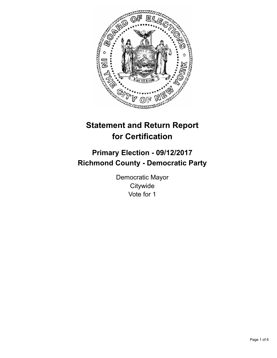

# **Statement and Return Report for Certification**

## **Primary Election - 09/12/2017 Richmond County - Democratic Party**

Democratic Mayor **Citywide** Vote for 1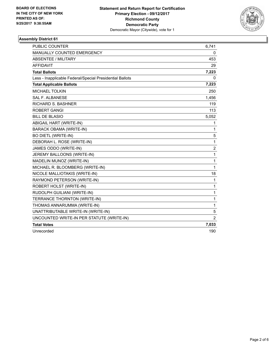

### **Assembly District 61**

| PUBLIC COUNTER                                           | 6,741          |
|----------------------------------------------------------|----------------|
| MANUALLY COUNTED EMERGENCY                               | 0              |
| <b>ABSENTEE / MILITARY</b>                               | 453            |
| <b>AFFIDAVIT</b>                                         | 29             |
| <b>Total Ballots</b>                                     | 7,223          |
| Less - Inapplicable Federal/Special Presidential Ballots | 0              |
| <b>Total Applicable Ballots</b>                          | 7,223          |
| <b>MICHAEL TOLKIN</b>                                    | 250            |
| <b>SAL F. ALBANESE</b>                                   | 1,456          |
| <b>RICHARD S. BASHNER</b>                                | 119            |
| <b>ROBERT GANGI</b>                                      | 113            |
| <b>BILL DE BLASIO</b>                                    | 5,052          |
| ABIGAIL HART (WRITE-IN)                                  | 1              |
| <b>BARACK OBAMA (WRITE-IN)</b>                           | 1              |
| <b>BO DIETL (WRITE-IN)</b>                               | 5              |
| DEBORAH L. ROSE (WRITE-IN)                               | $\mathbf{1}$   |
| JAMES ODDO (WRITE-IN)                                    | 2              |
| JEREMY BALLOONS (WRITE-IN)                               | $\mathbf{1}$   |
| MADELIN MUNOZ (WRITE-IN)                                 | $\mathbf{1}$   |
| MICHAEL R. BLOOMBERG (WRITE-IN)                          | 1              |
| NICOLE MALLIOTAKIS (WRITE-IN)                            | 18             |
| RAYMOND PETERSON (WRITE-IN)                              | $\mathbf{1}$   |
| ROBERT HOLST (WRITE-IN)                                  | $\mathbf{1}$   |
| RUDOLPH GUILIANI (WRITE-IN)                              | 1              |
| TERRANCE THORNTON (WRITE-IN)                             | 1              |
| THOMAS ANNARUMMA (WRITE-IN)                              | $\mathbf{1}$   |
| UNATTRIBUTABLE WRITE-IN (WRITE-IN)                       | 5              |
| UNCOUNTED WRITE-IN PER STATUTE (WRITE-IN)                | $\overline{2}$ |
| <b>Total Votes</b>                                       | 7,033          |
| Unrecorded                                               | 190            |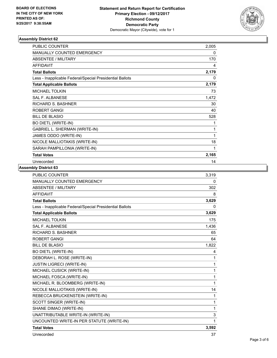

#### **Assembly District 62**

| <b>PUBLIC COUNTER</b>                                    | 2,005 |
|----------------------------------------------------------|-------|
| <b>MANUALLY COUNTED EMERGENCY</b>                        | 0     |
| <b>ABSENTEE / MILITARY</b>                               | 170   |
| <b>AFFIDAVIT</b>                                         | 4     |
| <b>Total Ballots</b>                                     | 2,179 |
| Less - Inapplicable Federal/Special Presidential Ballots | 0     |
| <b>Total Applicable Ballots</b>                          | 2,179 |
| <b>MICHAEL TOLKIN</b>                                    | 73    |
| <b>SAL F. ALBANESE</b>                                   | 1,472 |
| <b>RICHARD S. BASHNER</b>                                | 30    |
| ROBERT GANGI                                             | 40    |
| <b>BILL DE BLASIO</b>                                    | 528   |
| <b>BO DIETL (WRITE-IN)</b>                               | 1     |
| GABRIEL L. SHERMAN (WRITE-IN)                            | 1     |
| JAMES ODDO (WRITE-IN)                                    | 1     |
| NICOLE MALLIOTAKIS (WRITE-IN)                            | 18    |
| SARAH PAMPILLONIA (WRITE-IN)                             | 1     |
| <b>Total Votes</b>                                       | 2,165 |
| Unrecorded                                               | 14    |

### **Assembly District 63**

| <b>PUBLIC COUNTER</b>                                    | 3,319 |
|----------------------------------------------------------|-------|
| MANUALLY COUNTED EMERGENCY                               | 0     |
| <b>ABSENTEE / MILITARY</b>                               | 302   |
| <b>AFFIDAVIT</b>                                         | 8     |
| <b>Total Ballots</b>                                     | 3,629 |
| Less - Inapplicable Federal/Special Presidential Ballots | 0     |
| <b>Total Applicable Ballots</b>                          | 3,629 |
| <b>MICHAEL TOLKIN</b>                                    | 175   |
| <b>SAL F. ALBANESE</b>                                   | 1,436 |
| <b>RICHARD S. BASHNER</b>                                | 65    |
| <b>ROBERT GANGI</b>                                      | 64    |
| <b>BILL DE BLASIO</b>                                    | 1,822 |
| <b>BO DIETL (WRITE-IN)</b>                               | 4     |
| DEBORAH L. ROSE (WRITE-IN)                               | 1     |
| <b>JUSTIN LIGRECI (WRITE-IN)</b>                         | 1     |
| MICHAEL CUSICK (WRITE-IN)                                | 1     |
| MICHAEL FOSCA (WRITE-IN)                                 | 1     |
| MICHAEL R. BLOOMBERG (WRITE-IN)                          | 1     |
| NICOLE MALLIOTAKIS (WRITE-IN)                            | 14    |
| REBECCA BRUCKENSTEIN (WRITE-IN)                          | 1     |
| SCOTT SINGER (WRITE-IN)                                  | 1     |
| SHANE DIMAO (WRITE-IN)                                   | 1     |
| UNATTRIBUTABLE WRITE-IN (WRITE-IN)                       | 3     |
| UNCOUNTED WRITE-IN PER STATUTE (WRITE-IN)                | 1     |
| <b>Total Votes</b>                                       | 3,592 |
| Unrecorded                                               | 37    |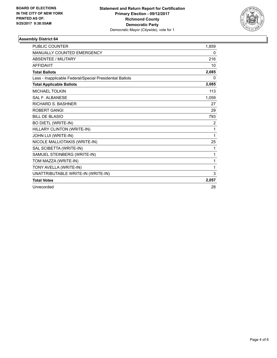

#### **Assembly District 64**

| <b>PUBLIC COUNTER</b>                                    | 1.859        |
|----------------------------------------------------------|--------------|
| <b>MANUALLY COUNTED EMERGENCY</b>                        | 0            |
| <b>ABSENTEE / MILITARY</b>                               | 216          |
| <b>AFFIDAVIT</b>                                         | 10           |
| <b>Total Ballots</b>                                     | 2,085        |
| Less - Inapplicable Federal/Special Presidential Ballots | 0            |
| <b>Total Applicable Ballots</b>                          | 2,085        |
| MICHAEL TOLKIN                                           | 113          |
| <b>SAL F. ALBANESE</b>                                   | 1,059        |
| <b>RICHARD S. BASHNER</b>                                | 27           |
| <b>ROBERT GANGI</b>                                      | 29           |
| <b>BILL DE BLASIO</b>                                    | 793          |
| BO DIETL (WRITE-IN)                                      | 2            |
| HILLARY CLINTON (WRITE-IN)                               | $\mathbf{1}$ |
| JOHN LUI (WRITE-IN)                                      | 1            |
| NICOLE MALLIOTAKIS (WRITE-IN)                            | 25           |
| SAL SCIBETTA (WRITE-IN)                                  | 1            |
| SAMUEL STEINBERG (WRITE-IN)                              | 1            |
| TOM MAZZA (WRITE-IN)                                     | 1            |
| TONY AVELLA (WRITE-IN)                                   | 1            |
| UNATTRIBUTABLE WRITE-IN (WRITE-IN)                       | 3            |
| <b>Total Votes</b>                                       | 2,057        |
| Unrecorded                                               | 28           |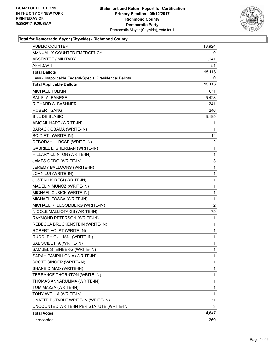

#### **Total for Democratic Mayor (Citywide) - Richmond County**

| <b>PUBLIC COUNTER</b>                                    | 13,924         |
|----------------------------------------------------------|----------------|
| MANUALLY COUNTED EMERGENCY                               | 0              |
| <b>ABSENTEE / MILITARY</b>                               | 1,141          |
| AFFIDAVIT                                                | 51             |
| <b>Total Ballots</b>                                     | 15,116         |
| Less - Inapplicable Federal/Special Presidential Ballots | 0              |
| <b>Total Applicable Ballots</b>                          | 15,116         |
| <b>MICHAEL TOLKIN</b>                                    | 611            |
| <b>SAL F. ALBANESE</b>                                   | 5,423          |
| <b>RICHARD S. BASHNER</b>                                | 241            |
| <b>ROBERT GANGI</b>                                      | 246            |
| <b>BILL DE BLASIO</b>                                    | 8,195          |
| ABIGAIL HART (WRITE-IN)                                  | 1              |
| <b>BARACK OBAMA (WRITE-IN)</b>                           | 1              |
| <b>BO DIETL (WRITE-IN)</b>                               | 12             |
| DEBORAH L. ROSE (WRITE-IN)                               | 2              |
| GABRIEL L. SHERMAN (WRITE-IN)                            | 1              |
| HILLARY CLINTON (WRITE-IN)                               | 1              |
| JAMES ODDO (WRITE-IN)                                    | 3              |
| JEREMY BALLOONS (WRITE-IN)                               | 1              |
| JOHN LUI (WRITE-IN)                                      | 1              |
| <b>JUSTIN LIGRECI (WRITE-IN)</b>                         | $\mathbf{1}$   |
| MADELIN MUNOZ (WRITE-IN)                                 | 1              |
| MICHAEL CUSICK (WRITE-IN)                                | 1              |
| MICHAEL FOSCA (WRITE-IN)                                 | 1              |
| MICHAEL R. BLOOMBERG (WRITE-IN)                          | $\overline{2}$ |
| NICOLE MALLIOTAKIS (WRITE-IN)                            | 75             |
| RAYMOND PETERSON (WRITE-IN)                              | 1              |
| REBECCA BRUCKENSTEIN (WRITE-IN)                          | 1              |
| ROBERT HOLST (WRITE-IN)                                  | 1              |
| RUDOLPH GUILIANI (WRITE-IN)                              | 1              |
| SAL SCIBETTA (WRITE-IN)                                  | 1              |
| SAMUEL STEINBERG (WRITE-IN)                              | 1              |
| SARAH PAMPILLONIA (WRITE-IN)                             | 1              |
| SCOTT SINGER (WRITE-IN)                                  | 1              |
| SHANE DIMAO (WRITE-IN)                                   | 1              |
| TERRANCE THORNTON (WRITE-IN)                             | 1              |
| THOMAS ANNARUMMA (WRITE-IN)                              | 1              |
| TOM MAZZA (WRITE-IN)                                     | 1              |
| TONY AVELLA (WRITE-IN)                                   | 1              |
| UNATTRIBUTABLE WRITE-IN (WRITE-IN)                       | 11             |
| UNCOUNTED WRITE-IN PER STATUTE (WRITE-IN)                | 3              |
| <b>Total Votes</b>                                       | 14,847         |
| Unrecorded                                               | 269            |